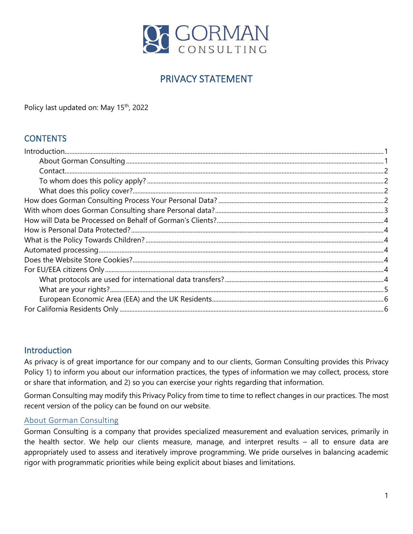

# PRIVACY STATEMENT

Policy last updated on: May 15<sup>th</sup>, 2022

# **CONTENTS**

#### <span id="page-0-0"></span>Introduction

As privacy is of great importance for our company and to our clients, Gorman Consulting provides this Privacy Policy 1) to inform you about our information practices, the types of information we may collect, process, store or share that information, and 2) so you can exercise your rights regarding that information.

Gorman Consulting may modify this Privacy Policy from time to time to reflect changes in our practices. The most recent version of the policy can be found on our website.

#### <span id="page-0-1"></span>About Gorman Consulting

Gorman Consulting is a company that provides specialized measurement and evaluation services, primarily in the health sector. We help our clients measure, manage, and interpret results – all to ensure data are appropriately used to assess and iteratively improve programming. We pride ourselves in balancing academic rigor with programmatic priorities while being explicit about biases and limitations.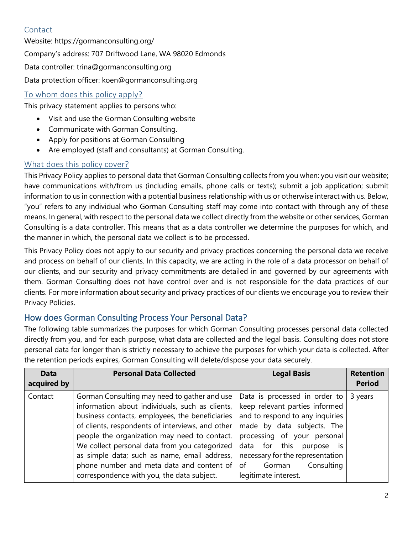# <span id="page-1-0"></span>Contact

Website:<https://gormanconsulting.org/> Company's address: 707 Driftwood Lane, WA 98020 Edmonds Data controller: trina@gormanconsulting.org Data protection officer: [koen@gormanconsulting.org](mailto:koen@gormanconsulting.org)

# <span id="page-1-1"></span>To whom does this policy apply?

This privacy statement applies to persons who:

- Visit and use the Gorman Consulting website
- Communicate with Gorman Consulting.
- Apply for positions at Gorman Consulting
- Are employed (staff and consultants) at Gorman Consulting.

#### <span id="page-1-2"></span>What does this policy cover?

This Privacy Policy applies to personal data that Gorman Consulting collects from you when: you visit our website; have communications with/from us (including emails, phone calls or texts); submit a job application; submit information to us in connection with a potential business relationship with us or otherwise interact with us. Below, "you" refers to any individual who Gorman Consulting staff may come into contact with through any of these means. In general, with respect to the personal data we collect directly from the website or other services, Gorman Consulting is a data controller. This means that as a data controller we determine the purposes for which, and the manner in which, the personal data we collect is to be processed.

This Privacy Policy does not apply to our security and privacy practices concerning the personal data we receive and process on behalf of our clients. In this capacity, we are acting in the role of a data processor on behalf of our clients, and our security and privacy commitments are detailed in and governed by our agreements with them. Gorman Consulting does not have control over and is not responsible for the data practices of our clients. For more information about security and privacy practices of our clients we encourage you to review their Privacy Policies.

# <span id="page-1-3"></span>How does Gorman Consulting Process Your Personal Data?

The following table summarizes the purposes for which Gorman Consulting processes personal data collected directly from you, and for each purpose, what data are collected and the legal basis. Consulting does not store personal data for longer than is strictly necessary to achieve the purposes for which your data is collected. After the retention periods expires, Gorman Consulting will delete/dispose your data securely.

| <b>Data</b><br>acquired by | <b>Personal Data Collected</b>                                                                                                                                                                                                                                                                                                                                                                                                                     | <b>Legal Basis</b>                                                                                                                                                                                                                                                                       | <b>Retention</b><br><b>Period</b> |
|----------------------------|----------------------------------------------------------------------------------------------------------------------------------------------------------------------------------------------------------------------------------------------------------------------------------------------------------------------------------------------------------------------------------------------------------------------------------------------------|------------------------------------------------------------------------------------------------------------------------------------------------------------------------------------------------------------------------------------------------------------------------------------------|-----------------------------------|
| Contact                    | Gorman Consulting may need to gather and use<br>information about individuals, such as clients,<br>business contacts, employees, the beneficiaries<br>of clients, respondents of interviews, and other<br>people the organization may need to contact.<br>We collect personal data from you categorized<br>as simple data; such as name, email address,<br>phone number and meta data and content of<br>correspondence with you, the data subject. | Data is processed in order to<br>keep relevant parties informed<br>and to respond to any inquiries<br>made by data subjects. The<br>processing of your personal<br>data for this<br>purpose is<br>necessary for the representation<br>Consulting<br>Gorman<br>of<br>legitimate interest. | 3 years                           |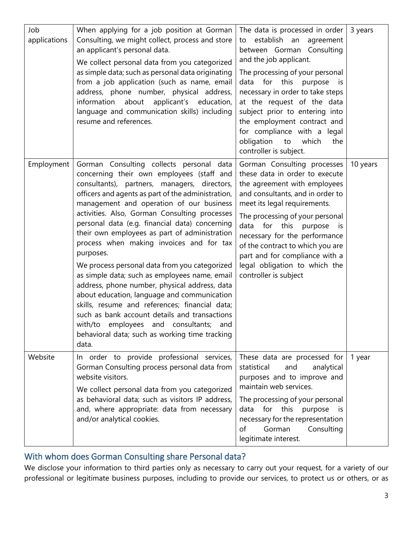| Job<br>applications | When applying for a job position at Gorman<br>Consulting, we might collect, process and store<br>an applicant's personal data.<br>We collect personal data from you categorized<br>as simple data; such as personal data originating<br>from a job application (such as name, email<br>address, phone number, physical address,<br>information<br>about<br>applicant's education,<br>language and communication skills) including<br>resume and references.                                                                                                                                                                                                                                                                                                                                                                                                    | The data is processed in order<br>to establish an<br>agreement<br>between Gorman Consulting<br>and the job applicant.<br>The processing of your personal<br>data for this purpose<br>is:<br>necessary in order to take steps<br>at the request of the data<br>subject prior to entering into<br>the employment contract and<br>for compliance with a legal<br>obligation<br>which<br>the<br>to<br>controller is subject. | 3 years  |
|---------------------|----------------------------------------------------------------------------------------------------------------------------------------------------------------------------------------------------------------------------------------------------------------------------------------------------------------------------------------------------------------------------------------------------------------------------------------------------------------------------------------------------------------------------------------------------------------------------------------------------------------------------------------------------------------------------------------------------------------------------------------------------------------------------------------------------------------------------------------------------------------|--------------------------------------------------------------------------------------------------------------------------------------------------------------------------------------------------------------------------------------------------------------------------------------------------------------------------------------------------------------------------------------------------------------------------|----------|
| Employment          | Gorman Consulting collects personal data<br>concerning their own employees (staff and<br>consultants), partners, managers, directors,<br>officers and agents as part of the administration,<br>management and operation of our business<br>activities. Also, Gorman Consulting processes<br>personal data (e.g. financial data) concerning<br>their own employees as part of administration<br>process when making invoices and for tax<br>purposes.<br>We process personal data from you categorized<br>as simple data; such as employees name, email<br>address, phone number, physical address, data<br>about education, language and communication<br>skills, resume and references; financial data;<br>such as bank account details and transactions<br>with/to employees and consultants; and<br>behavioral data; such as working time tracking<br>data. | Gorman Consulting processes<br>these data in order to execute<br>the agreement with employees<br>and consultants, and in order to<br>meet its legal requirements.<br>The processing of your personal<br>for<br>this<br>data<br>purpose<br><i>is</i><br>necessary for the performance<br>of the contract to which you are<br>part and for compliance with a<br>legal obligation to which the<br>controller is subject     | 10 years |
| Website             | In order to provide professional services,<br>Gorman Consulting process personal data from<br>website visitors.<br>We collect personal data from you categorized<br>as behavioral data; such as visitors IP address,<br>and, where appropriate: data from necessary<br>and/or analytical cookies.                                                                                                                                                                                                                                                                                                                                                                                                                                                                                                                                                              | These data are processed for<br>statistical<br>and<br>analytical<br>purposes and to improve and<br>maintain web services.<br>The processing of your personal<br>for this<br>data<br>purpose<br><i>is</i><br>necessary for the representation<br>Gorman<br>Consulting<br>οf<br>legitimate interest.                                                                                                                       | 1 year   |

#### <span id="page-2-0"></span>With whom does Gorman Consulting share Personal data?

We disclose your information to third parties only as necessary to carry out your request, for a variety of our professional or legitimate business purposes, including to provide our services, to protect us or others, or as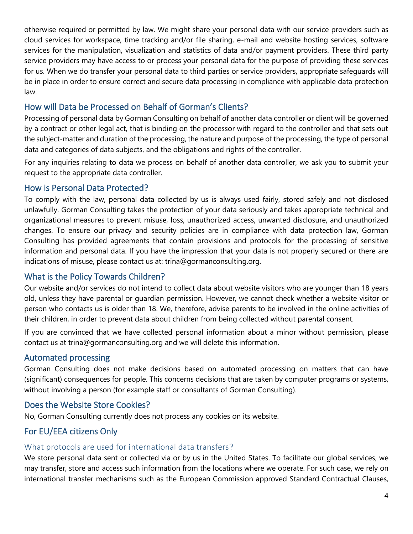otherwise required or permitted by law. We might share your personal data with our service providers such as cloud services for workspace, time tracking and/or file sharing, e-mail and website hosting services, software services for the manipulation, visualization and statistics of data and/or payment providers. These third party service providers may have access to or process your personal data for the purpose of providing these services for us. When we do transfer your personal data to third parties or service providers, appropriate safeguards will be in place in order to ensure correct and secure data processing in compliance with applicable data protection law.

# <span id="page-3-0"></span>How will Data be Processed on Behalf of Gorman's Clients?

Processing of personal data by Gorman Consulting on behalf of another data controller or client will be governed by a contract or other legal act, that is binding on the processor with regard to the controller and that sets out the subject-matter and duration of the processing, the nature and purpose of the processing, the type of personal data and categories of data subjects, and the obligations and rights of the controller.

For any inquiries relating to data we process [on behalf of another data controller,](https://gormanconsulting.org/projects/) we ask you to submit your request to the appropriate data controller.

# <span id="page-3-1"></span>How is Personal Data Protected?

To comply with the law, personal data collected by us is always used fairly, stored safely and not disclosed unlawfully. Gorman Consulting takes the protection of your data seriously and takes appropriate technical and organizational measures to prevent misuse, loss, unauthorized access, unwanted disclosure, and unauthorized changes. To ensure our privacy and security policies are in compliance with data protection law, Gorman Consulting has provided agreements that contain provisions and protocols for the processing of sensitive information and personal data. If you have the impression that your data is not properly secured or there are indications of misuse, please contact us at: [trina@gormanconsulting.org.](mailto:trina@gormanconsulting.org)

# <span id="page-3-2"></span>What is the Policy Towards Children?

Our website and/or services do not intend to collect data about website visitors who are younger than 18 years old, unless they have parental or guardian permission. However, we cannot check whether a website visitor or person who contacts us is older than 18. We, therefore, advise parents to be involved in the online activities of their children, in order to prevent data about children from being collected without parental consent.

If you are convinced that we have collected personal information about a minor without permission, please contact us at [trina@gormanconsulting.org](mailto:trina@gormanconsulting.org) and we will delete this information.

# <span id="page-3-3"></span>Automated processing

Gorman Consulting does not make decisions based on automated processing on matters that can have (significant) consequences for people. This concerns decisions that are taken by computer programs or systems, without involving a person (for example staff or consultants of Gorman Consulting).

# <span id="page-3-4"></span>Does the Website Store Cookies?

No, Gorman Consulting currently does not process any cookies on its website.

# <span id="page-3-5"></span>For EU/EEA citizens Only

#### <span id="page-3-6"></span>What protocols are used for international data transfers?

We store personal data sent or collected via or by us in the United States. To facilitate our global services, we may transfer, store and access such information from the locations where we operate. For such case, we rely on international transfer mechanisms such as the European Commission approved Standard Contractual Clauses,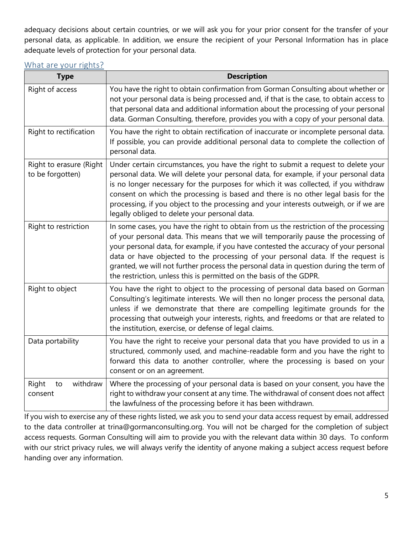adequacy decisions about certain countries, or we will ask you for your prior consent for the transfer of your personal data, as applicable. In addition, we ensure the recipient of your Personal Information has in place adequate levels of protection for your personal data.

<span id="page-4-0"></span>

| What are your rights? |
|-----------------------|
|-----------------------|

| <b>Type</b>                                 | <b>Description</b>                                                                                                                                                                                                                                                                                                                                                                                                                                                                                                      |
|---------------------------------------------|-------------------------------------------------------------------------------------------------------------------------------------------------------------------------------------------------------------------------------------------------------------------------------------------------------------------------------------------------------------------------------------------------------------------------------------------------------------------------------------------------------------------------|
| Right of access                             | You have the right to obtain confirmation from Gorman Consulting about whether or<br>not your personal data is being processed and, if that is the case, to obtain access to<br>that personal data and additional information about the processing of your personal<br>data. Gorman Consulting, therefore, provides you with a copy of your personal data.                                                                                                                                                              |
| Right to rectification                      | You have the right to obtain rectification of inaccurate or incomplete personal data.<br>If possible, you can provide additional personal data to complete the collection of<br>personal data.                                                                                                                                                                                                                                                                                                                          |
| Right to erasure (Right<br>to be forgotten) | Under certain circumstances, you have the right to submit a request to delete your<br>personal data. We will delete your personal data, for example, if your personal data<br>is no longer necessary for the purposes for which it was collected, if you withdraw<br>consent on which the processing is based and there is no other legal basis for the<br>processing, if you object to the processing and your interests outweigh, or if we are<br>legally obliged to delete your personal data.                       |
| Right to restriction                        | In some cases, you have the right to obtain from us the restriction of the processing<br>of your personal data. This means that we will temporarily pause the processing of<br>your personal data, for example, if you have contested the accuracy of your personal<br>data or have objected to the processing of your personal data. If the request is<br>granted, we will not further process the personal data in question during the term of<br>the restriction, unless this is permitted on the basis of the GDPR. |
| Right to object                             | You have the right to object to the processing of personal data based on Gorman<br>Consulting's legitimate interests. We will then no longer process the personal data,<br>unless if we demonstrate that there are compelling legitimate grounds for the<br>processing that outweigh your interests, rights, and freedoms or that are related to<br>the institution, exercise, or defense of legal claims.                                                                                                              |
| Data portability                            | You have the right to receive your personal data that you have provided to us in a<br>structured, commonly used, and machine-readable form and you have the right to<br>forward this data to another controller, where the processing is based on your<br>consent or on an agreement.                                                                                                                                                                                                                                   |
| withdraw<br>Right<br>to<br>consent          | Where the processing of your personal data is based on your consent, you have the<br>right to withdraw your consent at any time. The withdrawal of consent does not affect<br>the lawfulness of the processing before it has been withdrawn.                                                                                                                                                                                                                                                                            |

If you wish to exercise any of these rights listed, we ask you to send your data access request by email, addressed to the data controller at trina@gormanconsulting.org. You will not be charged for the completion of subject access requests. Gorman Consulting will aim to provide you with the relevant data within 30 days. To conform with our strict privacy rules, we will always verify the identity of anyone making a subject access request before handing over any information.